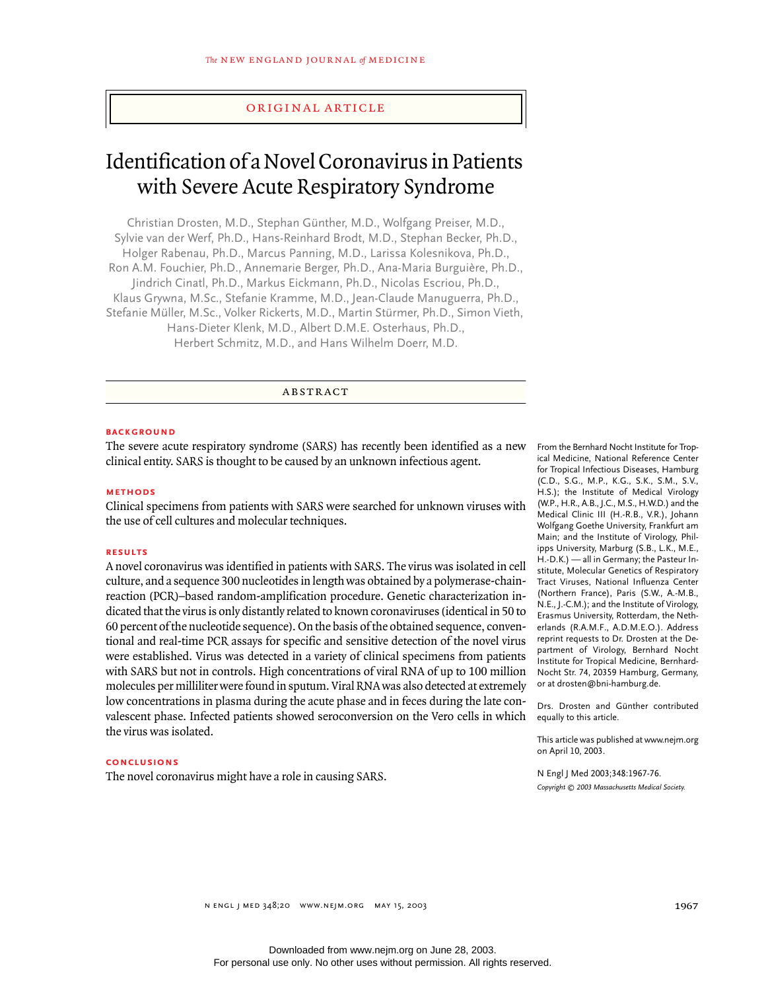## original article

# Identification of a Novel Coronavirus in Patients with Severe Acute Respiratory Syndrome

Christian Drosten, M.D., Stephan Günther, M.D., Wolfgang Preiser, M.D., Sylvie van der Werf, Ph.D., Hans-Reinhard Brodt, M.D., Stephan Becker, Ph.D., Holger Rabenau, Ph.D., Marcus Panning, M.D., Larissa Kolesnikova, Ph.D., Ron A.M. Fouchier, Ph.D., Annemarie Berger, Ph.D., Ana-Maria Burguière, Ph.D., Jindrich Cinatl, Ph.D., Markus Eickmann, Ph.D., Nicolas Escriou, Ph.D., Klaus Grywna, M.Sc., Stefanie Kramme, M.D., Jean-Claude Manuguerra, Ph.D., Stefanie Müller, M.Sc., Volker Rickerts, M.D., Martin Stürmer, Ph.D., Simon Vieth, Hans-Dieter Klenk, M.D., Albert D.M.E. Osterhaus, Ph.D., Herbert Schmitz, M.D., and Hans Wilhelm Doerr, M.D.

# **ABSTRACT**

## **BACKGROUND**

The severe acute respiratory syndrome (SARS) has recently been identified as a new clinical entity. SARS is thought to be caused by an unknown infectious agent.

#### **methods**

Clinical specimens from patients with SARS were searched for unknown viruses with the use of cell cultures and molecular techniques.

#### **results**

A novel coronavirus was identified in patients with SARS. The virus was isolated in cell culture, and a sequence 300 nucleotides in length was obtained by a polymerase-chainreaction (PCR)–based random-amplification procedure. Genetic characterization indicated that the virus is only distantly related to known coronaviruses (identical in 50 to 60 percent of the nucleotide sequence). On the basis of the obtained sequence, conventional and real-time PCR assays for specific and sensitive detection of the novel virus were established. Virus was detected in a variety of clinical specimens from patients with SARS but not in controls. High concentrations of viral RNA of up to 100 million molecules per milliliter were found in sputum. Viral RNA was also detected at extremely low concentrations in plasma during the acute phase and in feces during the late convalescent phase. Infected patients showed seroconversion on the Vero cells in which the virus was isolated.

#### **conclusions**

The novel coronavirus might have a role in causing SARS.

From the Bernhard Nocht Institute for Tropical Medicine, National Reference Center for Tropical Infectious Diseases, Hamburg (C.D., S.G., M.P., K.G., S.K., S.M., S.V., H.S.); the Institute of Medical Virology (W.P., H.R., A.B., J.C., M.S., H.W.D.) and the Medical Clinic III (H.-R.B., V.R.), Johann Wolfgang Goethe University, Frankfurt am Main; and the Institute of Virology, Philipps University, Marburg (S.B., L.K., M.E., H.-D.K.) — all in Germany; the Pasteur Institute, Molecular Genetics of Respiratory Tract Viruses, National Influenza Center (Northern France), Paris (S.W., A.-M.B., N.E., J.-C.M.); and the Institute of Virology, Erasmus University, Rotterdam, the Netherlands (R.A.M.F., A.D.M.E.O.). Address reprint requests to Dr. Drosten at the Department of Virology, Bernhard Nocht Institute for Tropical Medicine, Bernhard-Nocht Str. 74, 20359 Hamburg, Germany, or at drosten@bni-hamburg.de.

Drs. Drosten and Günther contributed equally to this article.

This article was published at www.nejm.org on April 10, 2003.

N Engl J Med 2003;348:1967-76. *Copyright © 2003 Massachusetts Medical Society.*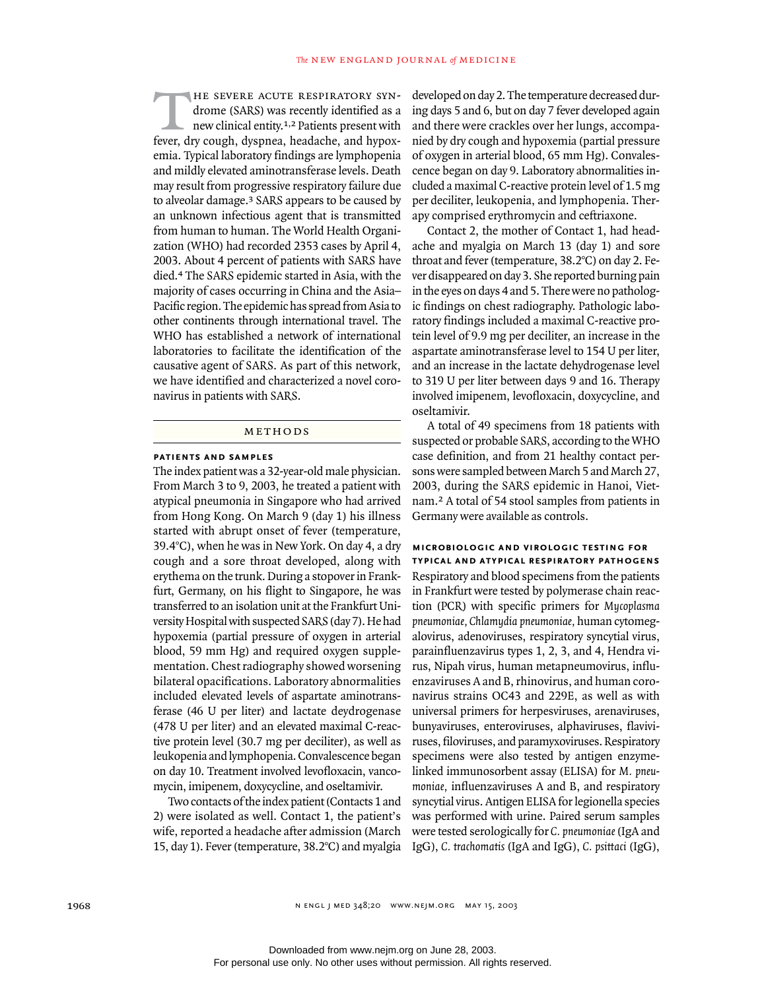he severe acute respiratory syndrome (SARS) was recently identified as a new clinical entity.1,2 Patients present with fever, dry cough, dyspnea, headache, and hypoxemia. Typical laboratory findings are lymphopenia and mildly elevated aminotransferase levels. Death may result from progressive respiratory failure due to alveolar damage.3 SARS appears to be caused by an unknown infectious agent that is transmitted from human to human. The World Health Organization (WHO) had recorded 2353 cases by April 4, 2003. About 4 percent of patients with SARS have died.4 The SARS epidemic started in Asia, with the majority of cases occurring in China and the Asia– Pacific region. The epidemic has spread from Asia to other continents through international travel. The WHO has established a network of international laboratories to facilitate the identification of the causative agent of SARS. As part of this network, we have identified and characterized a novel coronavirus in patients with SARS.  $\overline{T}$ 

#### METHODS

# **patients and samples**

The index patient was a 32-year-old male physician. From March 3 to 9, 2003, he treated a patient with atypical pneumonia in Singapore who had arrived from Hong Kong. On March 9 (day 1) his illness started with abrupt onset of fever (temperature, 39.4°C), when he was in New York. On day 4, a dry cough and a sore throat developed, along with erythema on the trunk. During a stopover in Frankfurt, Germany, on his flight to Singapore, he was transferred to an isolation unit at the Frankfurt University Hospital with suspected SARS (day 7). He had hypoxemia (partial pressure of oxygen in arterial blood, 59 mm Hg) and required oxygen supplementation. Chest radiography showed worsening bilateral opacifications. Laboratory abnormalities included elevated levels of aspartate aminotransferase (46 U per liter) and lactate deydrogenase (478 U per liter) and an elevated maximal C-reactive protein level (30.7 mg per deciliter), as well as leukopenia and lymphopenia. Convalescence began on day 10. Treatment involved levofloxacin, vancomycin, imipenem, doxycycline, and oseltamivir.

Two contacts of the index patient (Contacts 1 and 2) were isolated as well. Contact 1, the patient's wife, reported a headache after admission (March 15, day 1). Fever (temperature, 38.2°C) and myalgia

developed on day 2. The temperature decreased during days 5 and 6, but on day 7 fever developed again and there were crackles over her lungs, accompanied by dry cough and hypoxemia (partial pressure of oxygen in arterial blood, 65 mm Hg). Convalescence began on day 9. Laboratory abnormalities included a maximal C-reactive protein level of 1.5 mg per deciliter, leukopenia, and lymphopenia. Therapy comprised erythromycin and ceftriaxone.

Contact 2, the mother of Contact 1, had headache and myalgia on March 13 (day 1) and sore throat and fever (temperature, 38.2°C) on day 2. Fever disappeared on day 3. She reported burning pain in the eyes on days 4 and 5. There were no pathologic findings on chest radiography. Pathologic laboratory findings included a maximal C-reactive protein level of 9.9 mg per deciliter, an increase in the aspartate aminotransferase level to 154 U per liter, and an increase in the lactate dehydrogenase level to 319 U per liter between days 9 and 16. Therapy involved imipenem, levofloxacin, doxycycline, and oseltamivir.

A total of 49 specimens from 18 patients with suspected or probable SARS, according to the WHO case definition, and from 21 healthy contact persons were sampled between March 5 and March 27, 2003, during the SARS epidemic in Hanoi, Vietnam.2 A total of 54 stool samples from patients in Germany were available as controls.

**microbiologic and virologic testing for typical and atypical respiratory pathogens** Respiratory and blood specimens from the patients in Frankfurt were tested by polymerase chain reaction (PCR) with specific primers for *Mycoplasma pneumoniae, Chlamydia pneumoniae,* human cytomegalovirus, adenoviruses, respiratory syncytial virus, parainfluenzavirus types 1, 2, 3, and 4, Hendra virus, Nipah virus, human metapneumovirus, influenzaviruses A and B, rhinovirus, and human coronavirus strains OC43 and 229E, as well as with universal primers for herpesviruses, arenaviruses, bunyaviruses, enteroviruses, alphaviruses, flaviviruses, filoviruses, and paramyxoviruses. Respiratory specimens were also tested by antigen enzymelinked immunosorbent assay (ELISA) for *M. pneumoniae,* influenzaviruses A and B, and respiratory syncytial virus. Antigen ELISA for legionella species was performed with urine. Paired serum samples were tested serologically for *C. pneumoniae* (IgA and IgG), *C. trachomatis* (IgA and IgG), *C. psittaci* (IgG),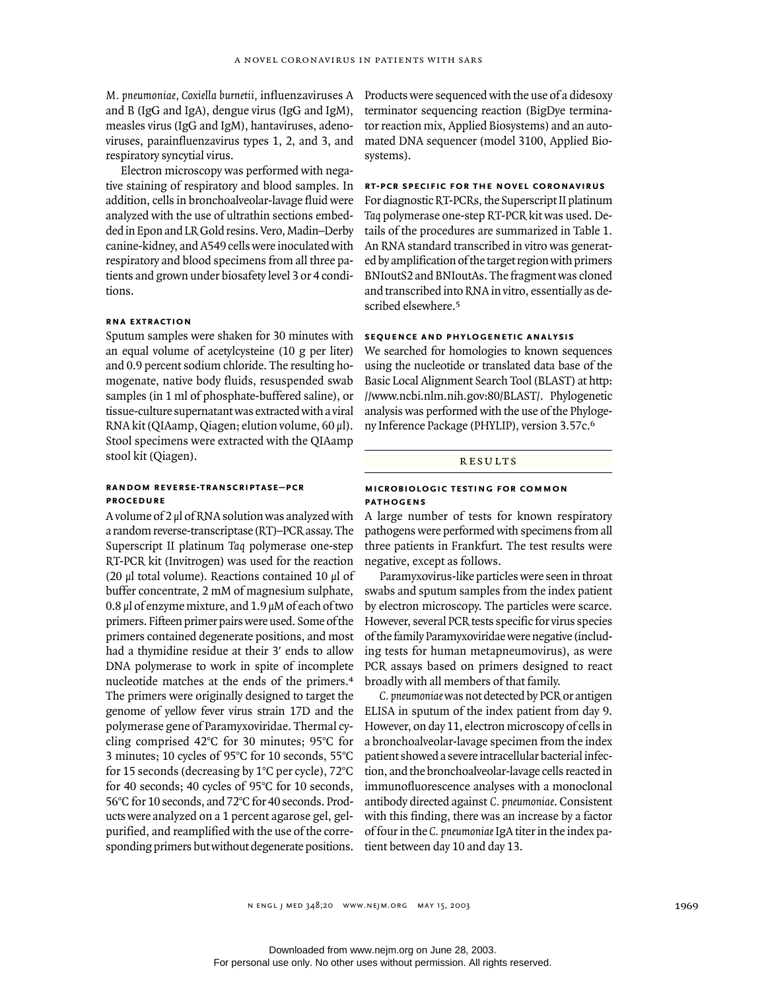*M. pneumoniae, Coxiella burnetii,* influenzaviruses A and B (IgG and IgA), dengue virus (IgG and IgM), measles virus (IgG and IgM), hantaviruses, adenoviruses, parainfluenzavirus types 1, 2, and 3, and respiratory syncytial virus.

Electron microscopy was performed with negative staining of respiratory and blood samples. In addition, cells in bronchoalveolar-lavage fluid were analyzed with the use of ultrathin sections embedded in Epon and LR Gold resins. Vero, Madin–Derby canine-kidney, and A549 cells were inoculated with respiratory and blood specimens from all three patients and grown under biosafety level 3 or 4 conditions.

## **rna extraction**

Sputum samples were shaken for 30 minutes with an equal volume of acetylcysteine (10 g per liter) and 0.9 percent sodium chloride. The resulting homogenate, native body fluids, resuspended swab samples (in 1 ml of phosphate-buffered saline), or tissue-culture supernatant was extracted with a viral RNA kit (QIAamp, Qiagen; elution volume, 60 µl). Stool specimens were extracted with the QIAamp stool kit (Qiagen).

## **random reverse-transcriptase–pcr procedure**

A volume of 2 µl of RNA solution was analyzed with a random reverse-transcriptase (RT)–PCR assay. The Superscript II platinum *Taq* polymerase one-step RT-PCR kit (Invitrogen) was used for the reaction (20  $\mu$ l total volume). Reactions contained 10  $\mu$ l of buffer concentrate, 2 mM of magnesium sulphate, 0.8 µl of enzyme mixture, and 1.9 µM of each of two primers. Fifteen primer pairs were used. Some of the primers contained degenerate positions, and most had a thymidine residue at their 3' ends to allow DNA polymerase to work in spite of incomplete nucleotide matches at the ends of the primers.<sup>4</sup> The primers were originally designed to target the genome of yellow fever virus strain 17D and the polymerase gene of Paramyxoviridae. Thermal cycling comprised 42°C for 30 minutes; 95°C for 3 minutes; 10 cycles of 95°C for 10 seconds, 55°C for 15 seconds (decreasing by 1°C per cycle), 72°C for 40 seconds; 40 cycles of 95°C for 10 seconds, 56°C for 10 seconds, and 72°C for 40 seconds. Products were analyzed on a 1 percent agarose gel, gelpurified, and reamplified with the use of the corresponding primers but without degenerate positions.

Products were sequenced with the use of a didesoxy terminator sequencing reaction (BigDye terminator reaction mix, Applied Biosystems) and an automated DNA sequencer (model 3100, Applied Biosystems).

# **rt-pcr specific for the novel coronavirus**

For diagnostic RT-PCRs, the Superscript II platinum *Taq* polymerase one-step RT-PCR kit was used. Details of the procedures are summarized in Table 1. An RNA standard transcribed in vitro was generated by amplification of the target region with primers BNIoutS2 and BNIoutAs. The fragment was cloned and transcribed into RNA in vitro, essentially as described elsewhere.<sup>5</sup>

## **sequence and phylogenetic analysis**

We searched for homologies to known sequences using the nucleotide or translated data base of the Basic Local Alignment Search Tool (BLAST) at http: //www.ncbi.nlm.nih.gov:80/BLAST/. Phylogenetic analysis was performed with the use of the Phylogeny Inference Package (PHYLIP), version 3.57c.<sup>6</sup>

## results

#### **microbiologic testing for common pathogens**

A large number of tests for known respiratory pathogens were performed with specimens from all three patients in Frankfurt. The test results were negative, except as follows.

Paramyxovirus-like particles were seen in throat swabs and sputum samples from the index patient by electron microscopy. The particles were scarce. However, several PCR tests specific for virus species of the family Paramyxoviridae were negative (including tests for human metapneumovirus), as were PCR assays based on primers designed to react broadly with all members of that family.

*C. pneumoniae* was not detected by PCR or antigen ELISA in sputum of the index patient from day 9. However, on day 11, electron microscopy of cells in a bronchoalveolar-lavage specimen from the index patient showed a severe intracellular bacterial infection, and the bronchoalveolar-lavage cells reacted in immunofluorescence analyses with a monoclonal antibody directed against *C. pneumoniae*. Consistent with this finding, there was an increase by a factor of four in the *C. pneumoniae* IgA titer in the index patient between day 10 and day 13.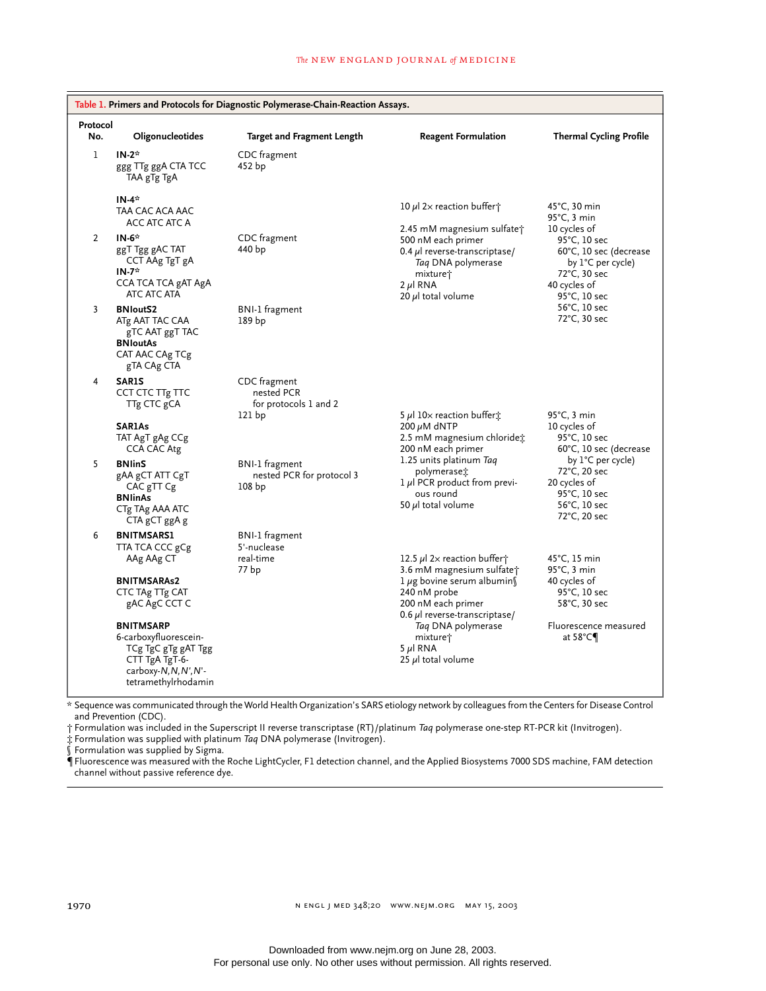| Table 1. Primers and Protocols for Diagnostic Polymerase-Chain-Reaction Assays. |                                                                                                                                                                                                                                                    |                                                                  |                                                                                                                                                                                                                                                                 |                                                                                                                                                                                      |  |  |  |
|---------------------------------------------------------------------------------|----------------------------------------------------------------------------------------------------------------------------------------------------------------------------------------------------------------------------------------------------|------------------------------------------------------------------|-----------------------------------------------------------------------------------------------------------------------------------------------------------------------------------------------------------------------------------------------------------------|--------------------------------------------------------------------------------------------------------------------------------------------------------------------------------------|--|--|--|
| Protocol                                                                        |                                                                                                                                                                                                                                                    |                                                                  |                                                                                                                                                                                                                                                                 |                                                                                                                                                                                      |  |  |  |
| No.                                                                             | Oligonucleotides                                                                                                                                                                                                                                   | <b>Target and Fragment Length</b>                                | <b>Reagent Formulation</b>                                                                                                                                                                                                                                      | <b>Thermal Cycling Profile</b>                                                                                                                                                       |  |  |  |
| $\mathbf{1}$                                                                    | $IN-2^*$<br>ggg TTg ggA CTA TCC<br>TAA gTg TgA<br>$IN-4*$                                                                                                                                                                                          | CDC fragment<br>452 bp                                           | 10 $\mu$ 2x reaction buffer $\uparrow$                                                                                                                                                                                                                          | 45°C, 30 min                                                                                                                                                                         |  |  |  |
|                                                                                 | TAA CAC ACA AAC<br>ACC ATC ATC A                                                                                                                                                                                                                   |                                                                  | 2.45 mM magnesium sulfate†                                                                                                                                                                                                                                      | $95^{\circ}$ C, 3 min<br>10 cycles of<br>95°C, 10 sec<br>60°C, 10 sec (decrease<br>by 1°C per cycle)<br>72°C, 30 sec<br>40 cycles of<br>95°C, 10 sec<br>56°C, 10 sec<br>72°C, 30 sec |  |  |  |
| 2                                                                               | $IN-6*$<br>ggT Tgg gAC TAT<br>CCT AAg TgT gA<br>$IN-7*$<br>CCA TCA TCA gAT AgA<br>ATC ATC ATA                                                                                                                                                      | CDC fragment<br>440 bp                                           | 500 nM each primer<br>0.4 $\mu$ reverse-transcriptase/<br>Taq DNA polymerase<br>mixture <sup>+</sup><br>$2 \mu$ RNA<br>20 $\mu$ l total volume                                                                                                                  |                                                                                                                                                                                      |  |  |  |
| 3                                                                               | <b>BNIoutS2</b><br>ATg AAT TAC CAA<br>gTC AAT ggT TAC<br><b>BNIoutAs</b><br>CAT AAC CAg TCg<br>gTA CAg CTA                                                                                                                                         | BNI-1 fragment<br>189 <sub>bp</sub>                              |                                                                                                                                                                                                                                                                 |                                                                                                                                                                                      |  |  |  |
| 4                                                                               | <b>SAR1S</b><br>CCT CTC TTg TTC<br>TTg CTC gCA<br><b>SARIAS</b>                                                                                                                                                                                    | CDC fragment<br>nested PCR<br>for protocols 1 and 2<br>121bp     | 5 $\mu$ l 10x reaction buffer $\dot{x}$<br>200 $\mu$ M dNTP<br>2.5 mM magnesium chloride:                                                                                                                                                                       | $95^{\circ}$ C, 3 min<br>10 cycles of<br>95°C, 10 sec<br>60°C, 10 sec (decrease<br>by 1°C per cycle)<br>72°C, 20 sec<br>20 cycles of<br>95°C, 10 sec<br>56°C, 10 sec<br>72°C, 20 sec |  |  |  |
| 5                                                                               | TAT AgT gAg CCg<br>CCA CAC Atg<br><b>BNIinS</b><br>gAA gCT ATT CgT<br>CAC gTT Cg<br><b>BNIInAs</b><br>CTg TAg AAA ATC<br>CTA gCT ggA g                                                                                                             | BNI-1 fragment<br>nested PCR for protocol 3<br>108 <sub>bp</sub> | 200 nM each primer<br>1.25 units platinum Taq<br>polymerase $\dot{x}$<br>$1 \mu$ PCR product from previ-<br>ous round<br>50 $\mu$ I total volume                                                                                                                |                                                                                                                                                                                      |  |  |  |
| 6                                                                               | <b>BNITMSARS1</b><br>TTA TCA CCC gCg<br>AAg AAg CT<br><b>BNITMSARAs2</b><br>CTC TAg TTg CAT<br>gAC AgC CCT C<br><b>BNITMSARP</b><br>6-carboxyfluorescein-<br>TCg TgC gTg gAT Tgg<br>CTT TgA TgT-6-<br>carboxy-N, N, N', N'-<br>tetramethylrhodamin | <b>BNI-1</b> fragment<br>5'-nuclease<br>real-time<br>77 bp       | 12.5 $\mu$ l 2x reaction buffer $\uparrow$<br>3.6 mM magnesium sulfate†<br>1 $\mu$ g bovine serum albumin<br>240 nM probe<br>200 nM each primer<br>0.6 $\mu$ reverse-transcriptase/<br>Tag DNA polymerase<br>mixture†<br>$5 \mu$ RNA<br>25 $\mu$ l total volume | $45^{\circ}$ C, 15 min<br>$95^{\circ}$ C, 3 min<br>40 cycles of<br>95°C, 10 sec<br>58°C, 30 sec<br>Fluorescence measured<br>at $58^{\circ}$ C¶                                       |  |  |  |

\* Sequence was communicated through the World Health Organization's SARS etiology network by colleagues from the Centers for Disease Control and Prevention (CDC).

† Formulation was included in the Superscript II reverse transcriptase (RT)/platinum *Taq* polymerase one-step RT-PCR kit (Invitrogen).

‡ Formulation was supplied with platinum *Taq* DNA polymerase (Invitrogen).

§ Formulation was supplied by Sigma.

¶Fluorescence was measured with the Roche LightCycler, F1 detection channel, and the Applied Biosystems 7000 SDS machine, FAM detection channel without passive reference dye.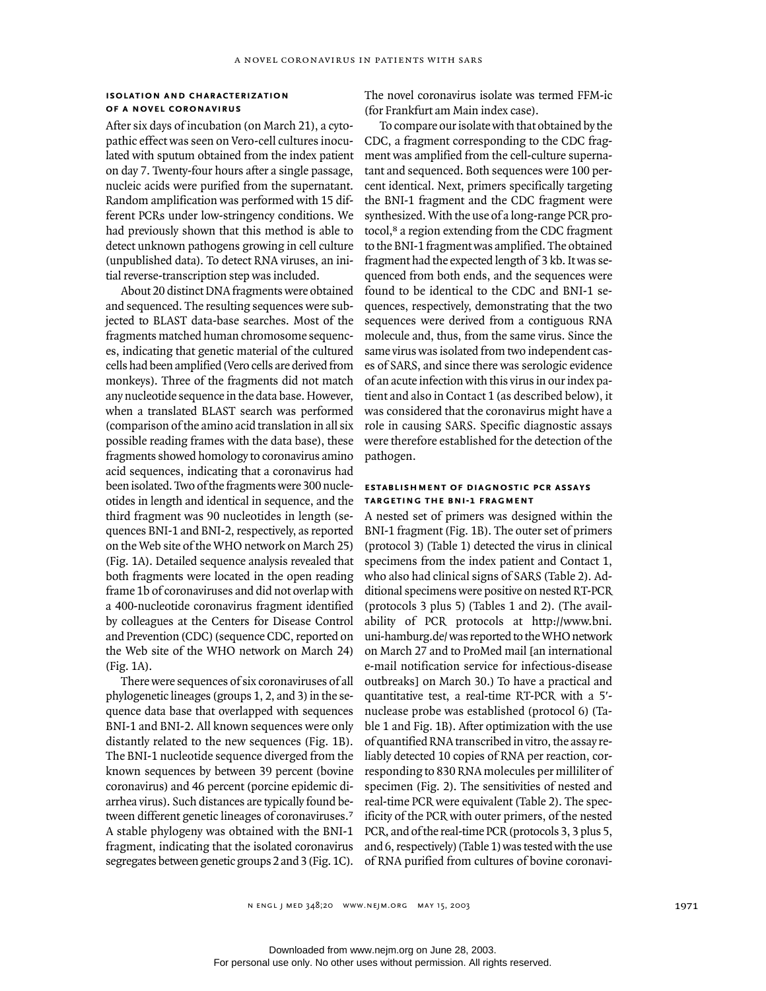## **isolation and characterization of a novel coronavirus**

After six days of incubation (on March 21), a cytopathic effect was seen on Vero-cell cultures inoculated with sputum obtained from the index patient on day 7. Twenty-four hours after a single passage, nucleic acids were purified from the supernatant. Random amplification was performed with 15 different PCRs under low-stringency conditions. We had previously shown that this method is able to detect unknown pathogens growing in cell culture (unpublished data). To detect RNA viruses, an initial reverse-transcription step was included.

About 20 distinct DNA fragments were obtained and sequenced. The resulting sequences were subjected to BLAST data-base searches. Most of the fragments matched human chromosome sequences, indicating that genetic material of the cultured cells had been amplified (Vero cells are derived from monkeys). Three of the fragments did not match any nucleotide sequence in the data base. However, when a translated BLAST search was performed (comparison of the amino acid translation in all six possible reading frames with the data base), these fragments showed homology to coronavirus amino acid sequences, indicating that a coronavirus had been isolated. Two of the fragments were 300 nucleotides in length and identical in sequence, and the third fragment was 90 nucleotides in length (sequences BNI-1 and BNI-2, respectively, as reported on the Web site of the WHO network on March 25) (Fig. 1A). Detailed sequence analysis revealed that both fragments were located in the open reading frame 1b of coronaviruses and did not overlap with a 400-nucleotide coronavirus fragment identified by colleagues at the Centers for Disease Control and Prevention (CDC) (sequence CDC, reported on the Web site of the WHO network on March 24) (Fig. 1A).

There were sequences of six coronaviruses of all phylogenetic lineages (groups 1, 2, and 3) in the sequence data base that overlapped with sequences BNI-1 and BNI-2. All known sequences were only distantly related to the new sequences (Fig. 1B). The BNI-1 nucleotide sequence diverged from the known sequences by between 39 percent (bovine coronavirus) and 46 percent (porcine epidemic diarrhea virus). Such distances are typically found between different genetic lineages of coronaviruses.<sup>7</sup> A stable phylogeny was obtained with the BNI-1 fragment, indicating that the isolated coronavirus segregates between genetic groups 2 and 3 (Fig. 1C). The novel coronavirus isolate was termed FFM-ic (for Frankfurt am Main index case).

To compare our isolate with that obtained by the CDC, a fragment corresponding to the CDC fragment was amplified from the cell-culture supernatant and sequenced. Both sequences were 100 percent identical. Next, primers specifically targeting the BNI-1 fragment and the CDC fragment were synthesized. With the use of a long-range PCR protocol,8 a region extending from the CDC fragment to the BNI-1 fragment was amplified. The obtained fragment had the expected length of 3 kb. It was sequenced from both ends, and the sequences were found to be identical to the CDC and BNI-1 sequences, respectively, demonstrating that the two sequences were derived from a contiguous RNA molecule and, thus, from the same virus. Since the same virus was isolated from two independent cases of SARS, and since there was serologic evidence of an acute infection with this virus in our index patient and also in Contact 1 (as described below), it was considered that the coronavirus might have a role in causing SARS. Specific diagnostic assays were therefore established for the detection of the pathogen.

## **establishment of diagnostic pcr assays targeting the bni-1 fragment**

A nested set of primers was designed within the BNI-1 fragment (Fig. 1B). The outer set of primers (protocol 3) (Table 1) detected the virus in clinical specimens from the index patient and Contact 1, who also had clinical signs of SARS (Table 2). Additional specimens were positive on nested RT-PCR (protocols 3 plus 5) (Tables 1 and 2). (The availability of PCR protocols at http://www.bni. uni-hamburg.de/ was reported to the WHO network on March 27 and to ProMed mail [an international e-mail notification service for infectious-disease outbreaks] on March 30.) To have a practical and quantitative test, a real-time RT-PCR with a 5' nuclease probe was established (protocol 6) (Table 1 and Fig. 1B). After optimization with the use of quantified RNA transcribed in vitro, the assay reliably detected 10 copies of RNA per reaction, corresponding to 830 RNA molecules per milliliter of specimen (Fig. 2). The sensitivities of nested and real-time PCR were equivalent (Table 2). The specificity of the PCR with outer primers, of the nested PCR, and of the real-time PCR (protocols 3, 3 plus 5, and 6, respectively) (Table 1) was tested with the use of RNA purified from cultures of bovine coronavi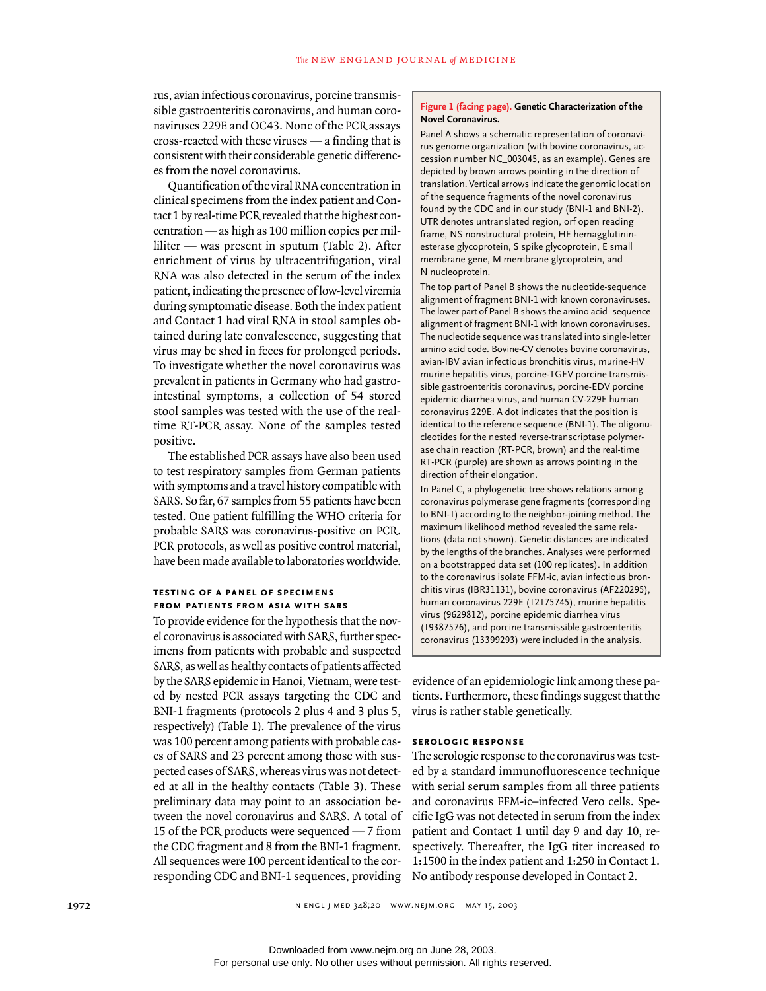rus, avian infectious coronavirus, porcine transmissible gastroenteritis coronavirus, and human coronaviruses 229E and OC43. None of the PCR assays cross-reacted with these viruses — a finding that is consistent with their considerable genetic differences from the novel coronavirus.

Quantification of the viral RNA concentration in clinical specimens from the index patient and Contact 1 by real-time PCR revealed that the highest concentration — as high as 100 million copies per milliliter — was present in sputum (Table 2). After enrichment of virus by ultracentrifugation, viral RNA was also detected in the serum of the index patient, indicating the presence of low-level viremia during symptomatic disease. Both the index patient and Contact 1 had viral RNA in stool samples obtained during late convalescence, suggesting that virus may be shed in feces for prolonged periods. To investigate whether the novel coronavirus was prevalent in patients in Germany who had gastrointestinal symptoms, a collection of 54 stored stool samples was tested with the use of the realtime RT-PCR assay. None of the samples tested positive.

The established PCR assays have also been used to test respiratory samples from German patients with symptoms and a travel history compatible with SARS. So far, 67 samples from 55 patients have been tested. One patient fulfilling the WHO criteria for probable SARS was coronavirus-positive on PCR. PCR protocols, as well as positive control material, have been made available to laboratories worldwide.

## **testing of a panel of specimens from patients from asia with sars**

To provide evidence for the hypothesis that the novel coronavirus is associated with SARS, further specimens from patients with probable and suspected SARS, as well as healthy contacts of patients affected by the SARS epidemic in Hanoi, Vietnam, were tested by nested PCR assays targeting the CDC and BNI-1 fragments (protocols 2 plus 4 and 3 plus 5, respectively) (Table 1). The prevalence of the virus was 100 percent among patients with probable cases of SARS and 23 percent among those with suspected cases of SARS, whereas virus was not detected at all in the healthy contacts (Table 3). These preliminary data may point to an association between the novel coronavirus and SARS. A total of 15 of the PCR products were sequenced — 7 from the CDC fragment and 8 from the BNI-1 fragment. All sequences were 100 percent identical to the corresponding CDC and BNI-1 sequences, providing

#### **Figure 1 (facing page). Genetic Characterization of the Novel Coronavirus.**

Panel A shows a schematic representation of coronavirus genome organization (with bovine coronavirus, accession number NC\_003045, as an example). Genes are depicted by brown arrows pointing in the direction of translation. Vertical arrows indicate the genomic location of the sequence fragments of the novel coronavirus found by the CDC and in our study (BNI-1 and BNI-2). UTR denotes untranslated region, orf open reading frame, NS nonstructural protein, HE hemagglutininesterase glycoprotein, S spike glycoprotein, E small membrane gene, M membrane glycoprotein, and N nucleoprotein.

The top part of Panel B shows the nucleotide-sequence alignment of fragment BNI-1 with known coronaviruses. The lower part of Panel B shows the amino acid–sequence alignment of fragment BNI-1 with known coronaviruses. The nucleotide sequence was translated into single-letter amino acid code. Bovine-CV denotes bovine coronavirus, avian-IBV avian infectious bronchitis virus, murine-HV murine hepatitis virus, porcine-TGEV porcine transmissible gastroenteritis coronavirus, porcine-EDV porcine epidemic diarrhea virus, and human CV-229E human coronavirus 229E. A dot indicates that the position is identical to the reference sequence (BNI-1). The oligonucleotides for the nested reverse-transcriptase polymerase chain reaction (RT-PCR, brown) and the real-time RT-PCR (purple) are shown as arrows pointing in the direction of their elongation.

In Panel C, a phylogenetic tree shows relations among coronavirus polymerase gene fragments (corresponding to BNI-1) according to the neighbor-joining method. The maximum likelihood method revealed the same relations (data not shown). Genetic distances are indicated by the lengths of the branches. Analyses were performed on a bootstrapped data set (100 replicates). In addition to the coronavirus isolate FFM-ic, avian infectious bronchitis virus (IBR31131), bovine coronavirus (AF220295), human coronavirus 229E (12175745), murine hepatitis virus (9629812), porcine epidemic diarrhea virus (19387576), and porcine transmissible gastroenteritis coronavirus (13399293) were included in the analysis.

evidence of an epidemiologic link among these patients. Furthermore, these findings suggest that the virus is rather stable genetically.

## **serologic response**

The serologic response to the coronavirus was tested by a standard immunofluorescence technique with serial serum samples from all three patients and coronavirus FFM-ic–infected Vero cells. Specific IgG was not detected in serum from the index patient and Contact 1 until day 9 and day 10, respectively. Thereafter, the IgG titer increased to 1:1500 in the index patient and 1:250 in Contact 1. No antibody response developed in Contact 2.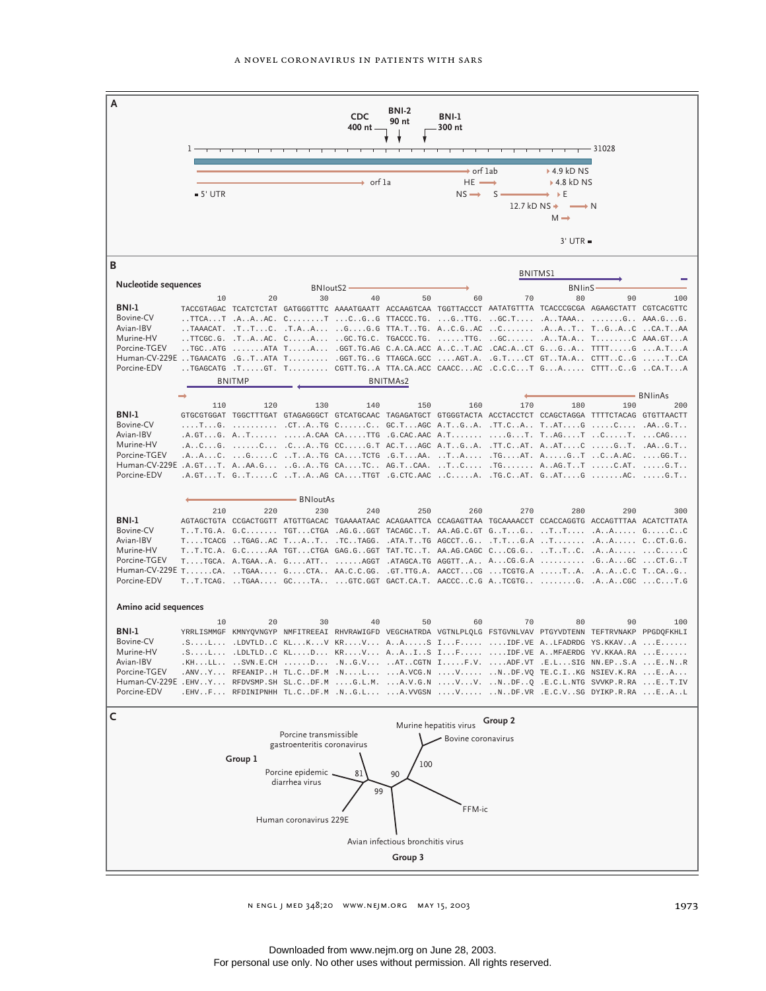

n engl j med 348;20 www.nejm.org may 15, 2003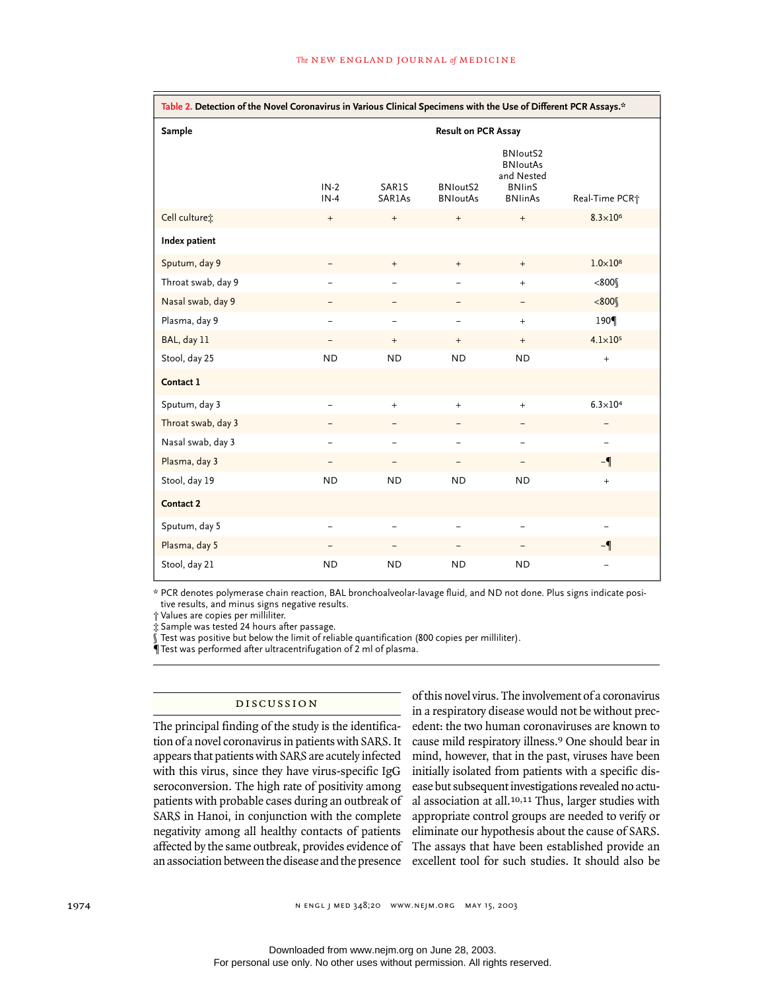| Table 2. Detection of the Novel Coronavirus in Various Clinical Specimens with the Use of Different PCR Assays.* |                            |                                  |                                    |                                                                                     |                          |  |  |  |
|------------------------------------------------------------------------------------------------------------------|----------------------------|----------------------------------|------------------------------------|-------------------------------------------------------------------------------------|--------------------------|--|--|--|
| Sample                                                                                                           | <b>Result on PCR Assay</b> |                                  |                                    |                                                                                     |                          |  |  |  |
|                                                                                                                  | $IN-2$<br>$IN-4$           | SARIS<br><b>SAR1As</b>           | <b>BNIoutS2</b><br><b>BNIoutAs</b> | <b>BNIoutS2</b><br><b>BNIoutAs</b><br>and Nested<br><b>BNIinS</b><br><b>BNIinAs</b> | Real-Time PCR+           |  |  |  |
| Cell culture;                                                                                                    | $^{+}$                     | $+$                              | $^{+}$                             | $+$                                                                                 | $8.3 \times 10^{6}$      |  |  |  |
| <b>Index patient</b>                                                                                             |                            |                                  |                                    |                                                                                     |                          |  |  |  |
| Sputum, day 9                                                                                                    |                            | $+$                              | $^{+}$                             | $^{+}$                                                                              | $1.0 \times 10^8$        |  |  |  |
| Throat swab, day 9                                                                                               | $\overline{\phantom{0}}$   |                                  |                                    | $\ddot{}$                                                                           | < 800                    |  |  |  |
| Nasal swab, day 9                                                                                                |                            |                                  |                                    |                                                                                     | < 800                    |  |  |  |
| Plasma, day 9                                                                                                    | $\overline{\phantom{0}}$   |                                  |                                    | $\ddot{}$                                                                           | 190¶                     |  |  |  |
| BAL, day 11                                                                                                      |                            | $\begin{array}{c} + \end{array}$ | $^{+}$                             | $^{+}$                                                                              | $4.1 \times 10^{5}$      |  |  |  |
| Stool, day 25                                                                                                    | <b>ND</b>                  | <b>ND</b>                        | <b>ND</b>                          | <b>ND</b>                                                                           | $\qquad \qquad +$        |  |  |  |
| Contact 1                                                                                                        |                            |                                  |                                    |                                                                                     |                          |  |  |  |
| Sputum, day 3                                                                                                    | $\overline{\phantom{0}}$   | $\ddot{}$                        | $^{+}$                             | $+$                                                                                 | $6.3 \times 10^{4}$      |  |  |  |
| Throat swab, day 3                                                                                               |                            |                                  |                                    |                                                                                     |                          |  |  |  |
| Nasal swab, day 3                                                                                                | $\overline{\phantom{0}}$   | ÷                                | $\overline{\phantom{0}}$           | $\overline{\phantom{0}}$                                                            | $\overline{\phantom{0}}$ |  |  |  |
| Plasma, day 3                                                                                                    |                            |                                  |                                    |                                                                                     | $-\P$                    |  |  |  |
| Stool, day 19                                                                                                    | <b>ND</b>                  | <b>ND</b>                        | <b>ND</b>                          | <b>ND</b>                                                                           | $+$                      |  |  |  |
| <b>Contact 2</b>                                                                                                 |                            |                                  |                                    |                                                                                     |                          |  |  |  |
| Sputum, day 5                                                                                                    | $\overline{\phantom{0}}$   |                                  | $\overline{a}$                     | $\overline{a}$                                                                      | $\overline{a}$           |  |  |  |
| Plasma, day 5                                                                                                    |                            |                                  |                                    |                                                                                     | $-$                      |  |  |  |
| Stool, day 21                                                                                                    | <b>ND</b>                  | <b>ND</b>                        | <b>ND</b>                          | <b>ND</b>                                                                           |                          |  |  |  |

\* PCR denotes polymerase chain reaction, BAL bronchoalveolar-lavage fluid, and ND not done. Plus signs indicate positive results, and minus signs negative results.

† Values are copies per milliliter.

‡ Sample was tested 24 hours after passage.

 $\hat{\S}$  Test was positive but below the limit of reliable quantification (800 copies per milliliter).

¶Test was performed after ultracentrifugation of 2 ml of plasma.

## discussion

The principal finding of the study is the identification of a novel coronavirus in patients with SARS. It appears that patients with SARS are acutely infected with this virus, since they have virus-specific IgG seroconversion. The high rate of positivity among patients with probable cases during an outbreak of SARS in Hanoi, in conjunction with the complete negativity among all healthy contacts of patients affected by the same outbreak, provides evidence of

an association between the disease and the presence excellent tool for such studies. It should also be of this novel virus. The involvement of a coronavirus in a respiratory disease would not be without precedent: the two human coronaviruses are known to cause mild respiratory illness.9 One should bear in mind, however, that in the past, viruses have been initially isolated from patients with a specific disease but subsequent investigations revealed no actual association at all.10,11 Thus, larger studies with appropriate control groups are needed to verify or eliminate our hypothesis about the cause of SARS. The assays that have been established provide an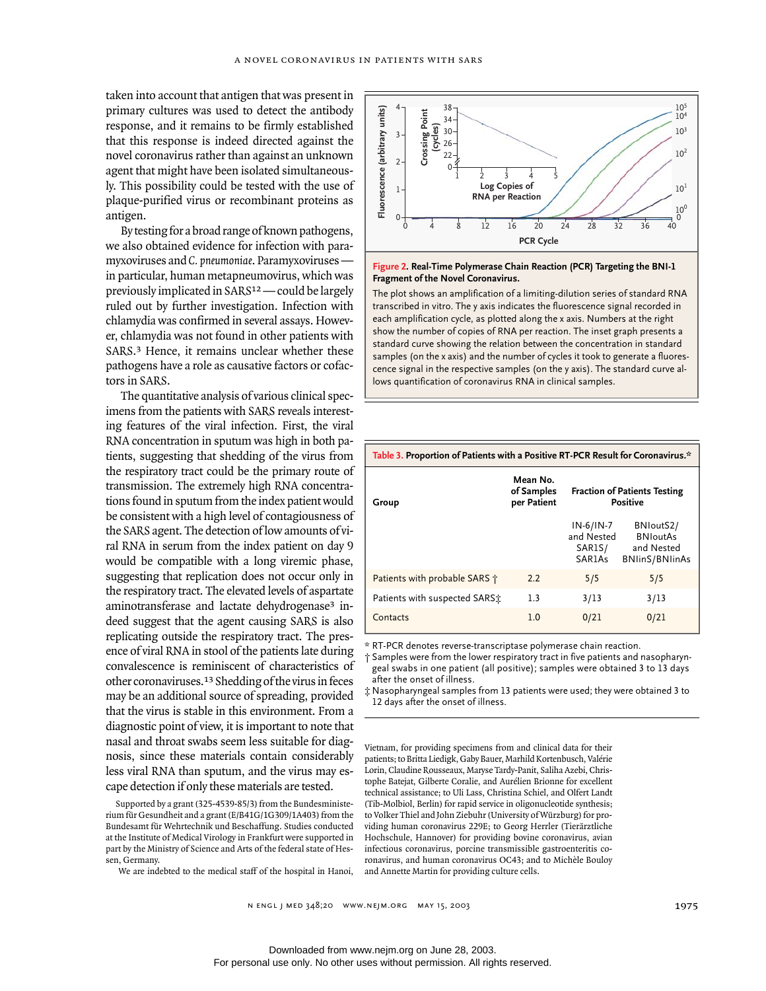taken into account that antigen that was present in primary cultures was used to detect the antibody response, and it remains to be firmly established that this response is indeed directed against the novel coronavirus rather than against an unknown agent that might have been isolated simultaneously. This possibility could be tested with the use of plaque-purified virus or recombinant proteins as antigen.

By testing for a broad range of known pathogens, we also obtained evidence for infection with paramyxoviruses and *C. pneumoniae*. Paramyxoviruses in particular, human metapneumovirus, which was previously implicated in SARS12 — could be largely ruled out by further investigation. Infection with chlamydia was confirmed in several assays. However, chlamydia was not found in other patients with SARS.3 Hence, it remains unclear whether these pathogens have a role as causative factors or cofactors in SARS.

The quantitative analysis of various clinical specimens from the patients with SARS reveals interesting features of the viral infection. First, the viral RNA concentration in sputum was high in both patients, suggesting that shedding of the virus from the respiratory tract could be the primary route of transmission. The extremely high RNA concentrations found in sputum from the index patient would be consistent with a high level of contagiousness of the SARS agent. The detection of low amounts of viral RNA in serum from the index patient on day 9 would be compatible with a long viremic phase, suggesting that replication does not occur only in the respiratory tract. The elevated levels of aspartate aminotransferase and lactate dehydrogenase<sup>3</sup> indeed suggest that the agent causing SARS is also replicating outside the respiratory tract. The presence of viral RNA in stool of the patients late during convalescence is reminiscent of characteristics of other coronaviruses.13 Shedding of the virus in feces may be an additional source of spreading, provided that the virus is stable in this environment. From a diagnostic point of view, it is important to note that nasal and throat swabs seem less suitable for diagnosis, since these materials contain considerably less viral RNA than sputum, and the virus may escape detection if only these materials are tested.

Supported by a grant (325-4539-85/3) from the Bundesministerium für Gesundheit and a grant (E/B41G/1G309/1A403) from the Bundesamt für Wehrtechnik und Beschaffung. Studies conducted at the Institute of Medical Virology in Frankfurt were supported in part by the Ministry of Science and Arts of the federal state of Hessen, Germany.

We are indebted to the medical staff of the hospital in Hanoi,



## **Figure 2. Real-Time Polymerase Chain Reaction (PCR) Targeting the BNI-1 Fragment of the Novel Coronavirus.**

The plot shows an amplification of a limiting-dilution series of standard RNA transcribed in vitro. The y axis indicates the fluorescence signal recorded in each amplification cycle, as plotted along the x axis. Numbers at the right show the number of copies of RNA per reaction. The inset graph presents a standard curve showing the relation between the concentration in standard samples (on the x axis) and the number of cycles it took to generate a fluorescence signal in the respective samples (on the y axis). The standard curve al-

| Table 3. Proportion of Patients with a Positive RT-PCR Result for Coronavirus.* |                                       |                                                        |                                                                     |  |  |  |  |  |
|---------------------------------------------------------------------------------|---------------------------------------|--------------------------------------------------------|---------------------------------------------------------------------|--|--|--|--|--|
| Group                                                                           | Mean No.<br>of Samples<br>per Patient | <b>Fraction of Patients Testing</b><br><b>Positive</b> |                                                                     |  |  |  |  |  |
|                                                                                 |                                       | $IN-6/IN-7$<br>and Nested<br>SAR1S/<br><b>SAR1As</b>   | BNIoutS2/<br><b>BNIoutAs</b><br>and Nested<br><b>BNIinS/BNIinAs</b> |  |  |  |  |  |
| Patients with probable SARS +                                                   | 2.2                                   | 5/5                                                    | 5/5                                                                 |  |  |  |  |  |
| Patients with suspected SARS:                                                   | 1.3                                   | 3/13                                                   | 3/13                                                                |  |  |  |  |  |
| Contacts                                                                        | 1.0                                   | 0/21                                                   | 0/21                                                                |  |  |  |  |  |

\* RT-PCR denotes reverse-transcriptase polymerase chain reaction.

† Samples were from the lower respiratory tract in five patients and nasopharyngeal swabs in one patient (all positive); samples were obtained 3 to 13 days after the onset of illness.

‡ Nasopharyngeal samples from 13 patients were used; they were obtained 3 to 12 days after the onset of illness.

Vietnam, for providing specimens from and clinical data for their patients; to Britta Liedigk, Gaby Bauer, Marhild Kortenbusch, Valérie Lorin, Claudine Rousseaux, Maryse Tardy-Panit, Saliha Azebi, Christophe Batejat, Gilberte Coralie, and Aurélien Brionne for excellent technical assistance; to Uli Lass, Christina Schiel, and Olfert Landt (Tib-Molbiol, Berlin) for rapid service in oligonucleotide synthesis; to Volker Thiel and John Ziebuhr (University of Würzburg) for providing human coronavirus 229E; to Georg Herrler (Tierärztliche Hochschule, Hannover) for providing bovine coronavirus, avian infectious coronavirus, porcine transmissible gastroenteritis coronavirus, and human coronavirus OC43; and to Michèle Bouloy and Annette Martin for providing culture cells.

n engl j med 348;20 www.nejm.org may 15, 2003